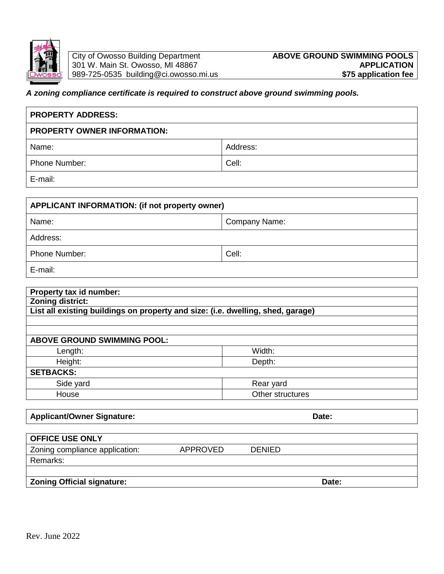

# 989-725-0535 building@ci.owosso.mi.us

# *A zoning compliance certificate is required to construct above ground swimming pools.*

| <b>PROPERTY ADDRESS:</b>           |          |  |  |  |  |  |  |
|------------------------------------|----------|--|--|--|--|--|--|
| <b>PROPERTY OWNER INFORMATION:</b> |          |  |  |  |  |  |  |
| Name:                              | Address: |  |  |  |  |  |  |
| <b>Phone Number:</b>               | Cell:    |  |  |  |  |  |  |
| E-mail:                            |          |  |  |  |  |  |  |

| APPLICANT INFORMATION: (if not property owner) |               |  |  |  |  |  |  |
|------------------------------------------------|---------------|--|--|--|--|--|--|
| Name:                                          | Company Name: |  |  |  |  |  |  |
| Address:                                       |               |  |  |  |  |  |  |
| <b>Phone Number:</b>                           | Cell:         |  |  |  |  |  |  |
| E-mail:                                        |               |  |  |  |  |  |  |

| Property tax id number:            |                                                                                 |  |
|------------------------------------|---------------------------------------------------------------------------------|--|
| <b>Zoning district:</b>            |                                                                                 |  |
|                                    | List all existing buildings on property and size: (i.e. dwelling, shed, garage) |  |
|                                    |                                                                                 |  |
|                                    |                                                                                 |  |
| <b>ABOVE GROUND SWIMMING POOL:</b> |                                                                                 |  |
| Length:                            | Width:                                                                          |  |
| Height:                            | Depth:                                                                          |  |
| <b>SETBACKS:</b>                   |                                                                                 |  |
| Side yard                          | Rear yard                                                                       |  |
| House                              | Other structures                                                                |  |

# Applicant/Owner Signature: **Date:** Date: Date: Date: Date: Date: Date: Date: Date: Date: Date: Date: Date: Date: Date: Date: Date: Date: Date: Date: Date: Date: Date: Date: Date: Date: Date: Date: Date: Date: Date: Date: D

| <b>OFFICE USE ONLY</b>            |                 |               |       |
|-----------------------------------|-----------------|---------------|-------|
| Zoning compliance application:    | <b>APPROVED</b> | <b>DENIED</b> |       |
| Remarks:                          |                 |               |       |
|                                   |                 |               |       |
| <b>Zoning Official signature:</b> |                 |               | Date: |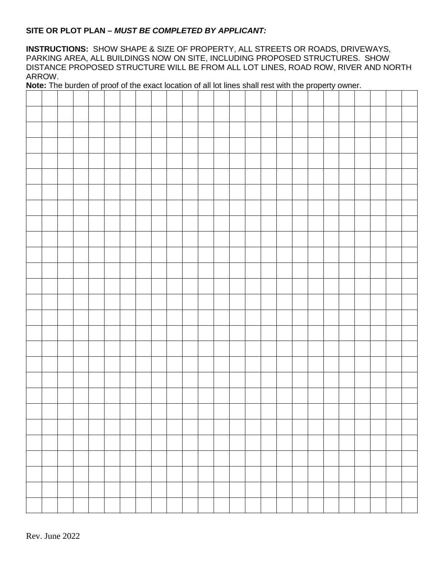#### **SITE OR PLOT PLAN –** *MUST BE COMPLETED BY APPLICANT:*

**INSTRUCTIONS:** SHOW SHAPE & SIZE OF PROPERTY, ALL STREETS OR ROADS, DRIVEWAYS, PARKING AREA, ALL BUILDINGS NOW ON SITE, INCLUDING PROPOSED STRUCTURES. SHOW DISTANCE PROPOSED STRUCTURE WILL BE FROM ALL LOT LINES, ROAD ROW, RIVER AND NORTH ARROW.

**Note:** The burden of proof of the exact location of all lot lines shall rest with the property owner.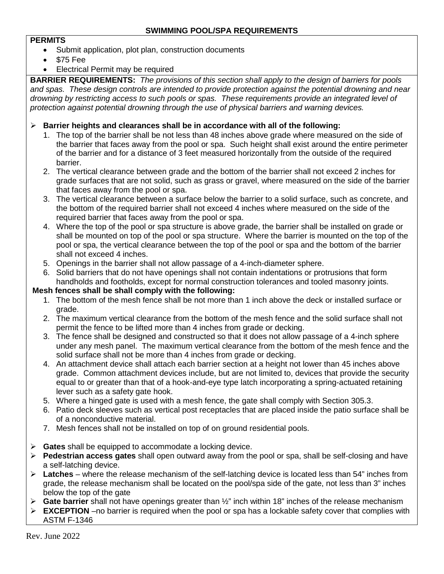#### **PERMITS**

- Submit application, plot plan, construction documents
- \$75 Fee
- Electrical Permit may be required

**BARRIER REQUIREMENTS:** *The provisions of this section shall apply to the design of barriers for pools and spas. These design controls are intended to provide protection against the potential drowning and near drowning by restricting access to such pools or spas. These requirements provide an integrated level of protection against potential drowning through the use of physical barriers and warning devices.*

- **Barrier heights and clearances shall be in accordance with all of the following:**
	- 1. The top of the barrier shall be not less than 48 inches above grade where measured on the side of the barrier that faces away from the pool or spa. Such height shall exist around the entire perimeter of the barrier and for a distance of 3 feet measured horizontally from the outside of the required barrier.
	- 2. The vertical clearance between grade and the bottom of the barrier shall not exceed 2 inches for grade surfaces that are not solid, such as grass or gravel, where measured on the side of the barrier that faces away from the pool or spa.
	- 3. The vertical clearance between a surface below the barrier to a solid surface, such as concrete, and the bottom of the required barrier shall not exceed 4 inches where measured on the side of the required barrier that faces away from the pool or spa.
	- 4. Where the top of the pool or spa structure is above grade, the barrier shall be installed on grade or shall be mounted on top of the pool or spa structure. Where the barrier is mounted on the top of the pool or spa, the vertical clearance between the top of the pool or spa and the bottom of the barrier shall not exceed 4 inches.
	- 5. Openings in the barrier shall not allow passage of a 4-inch-diameter sphere.
	- 6. Solid barriers that do not have openings shall not contain indentations or protrusions that form handholds and footholds, except for normal construction tolerances and tooled masonry joints.

## **Mesh fences shall be shall comply with the following:**

- 1. The bottom of the mesh fence shall be not more than 1 inch above the deck or installed surface or grade.
- 2. The maximum vertical clearance from the bottom of the mesh fence and the solid surface shall not permit the fence to be lifted more than 4 inches from grade or decking.
- 3. The fence shall be designed and constructed so that it does not allow passage of a 4-inch sphere under any mesh panel. The maximum vertical clearance from the bottom of the mesh fence and the solid surface shall not be more than 4 inches from grade or decking.
- 4. An attachment device shall attach each barrier section at a height not lower than 45 inches above grade. Common attachment devices include, but are not limited to, devices that provide the security equal to or greater than that of a hook-and-eye type latch incorporating a spring-actuated retaining lever such as a safety gate hook.
- 5. Where a hinged gate is used with a mesh fence, the gate shall comply with Section 305.3.
- 6. Patio deck sleeves such as vertical post receptacles that are placed inside the patio surface shall be of a nonconductive material.
- 7. Mesh fences shall not be installed on top of on ground residential pools.
- **Gates** shall be equipped to accommodate a locking device.
- **Pedestrian access gates** shall open outward away from the pool or spa, shall be self-closing and have a self-latching device.
- **Latches** where the release mechanism of the self-latching device is located less than 54" inches from grade, the release mechanism shall be located on the pool/spa side of the gate, not less than 3" inches below the top of the gate
- **Gate barrier** shall not have openings greater than ½" inch within 18" inches of the release mechanism
- **EXCEPTION** –no barrier is required when the pool or spa has a lockable safety cover that complies with ASTM F-1346